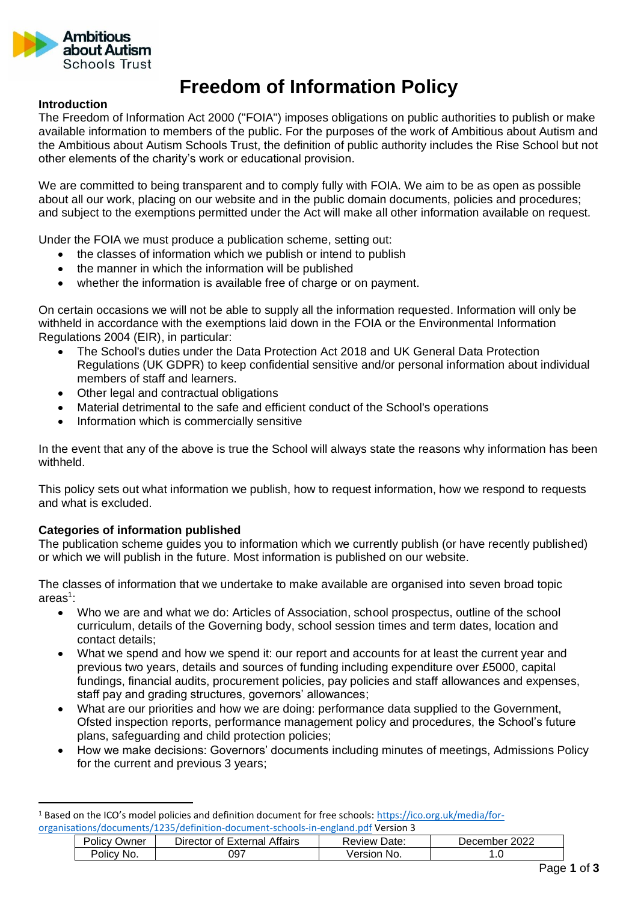

# **Freedom of Information Policy**

## **Introduction**

The Freedom of Information Act 2000 ("FOIA") imposes obligations on public authorities to publish or make available information to members of the public. For the purposes of the work of Ambitious about Autism and the Ambitious about Autism Schools Trust, the definition of public authority includes the Rise School but not other elements of the charity's work or educational provision.

We are committed to being transparent and to comply fully with FOIA. We aim to be as open as possible about all our work, placing on our website and in the public domain documents, policies and procedures; and subject to the exemptions permitted under the Act will make all other information available on request.

Under the FOIA we must produce a publication scheme, setting out:

- the classes of information which we publish or intend to publish
- the manner in which the information will be published
- whether the information is available free of charge or on payment.

On certain occasions we will not be able to supply all the information requested. Information will only be withheld in accordance with the exemptions laid down in the FOIA or the Environmental Information Regulations 2004 (EIR), in particular:

- The School's duties under the Data Protection Act 2018 and UK General Data Protection Regulations (UK GDPR) to keep confidential sensitive and/or personal information about individual members of staff and learners.
- Other legal and contractual obligations
- Material detrimental to the safe and efficient conduct of the School's operations
- Information which is commercially sensitive

In the event that any of the above is true the School will always state the reasons why information has been withheld.

This policy sets out what information we publish, how to request information, how we respond to requests and what is excluded.

## **Categories of information published**

The publication scheme guides you to information which we currently publish (or have recently published) or which we will publish in the future. Most information is published on our website.

The classes of information that we undertake to make available are organised into seven broad topic areas<sup>1</sup>:

- Who we are and what we do: Articles of Association, school prospectus, outline of the school curriculum, details of the Governing body, school session times and term dates, location and contact details;
- What we spend and how we spend it: our report and accounts for at least the current year and previous two years, details and sources of funding including expenditure over £5000, capital fundings, financial audits, procurement policies, pay policies and staff allowances and expenses, staff pay and grading structures, governors' allowances;
- What are our priorities and how we are doing: performance data supplied to the Government, Ofsted inspection reports, performance management policy and procedures, the School's future plans, safeguarding and child protection policies;
- How we make decisions: Governors' documents including minutes of meetings, Admissions Policy for the current and previous 3 years;

<sup>1</sup> Based on the ICO's model policies and definition document for free schools: [https://ico.org.uk/media/for](https://ico.org.uk/media/for-organisations/documents/1235/definition-document-schools-in-england.pdf)[organisations/documents/1235/definition-document-schools-in-england.pdf](https://ico.org.uk/media/for-organisations/documents/1235/definition-document-schools-in-england.pdf) Version 3

| POIICV<br><b>Owner</b> | Director of External Affairs | <b>Review Date:</b> | 2022<br>December |
|------------------------|------------------------------|---------------------|------------------|
| Policy<br>'NO.         | 097                          | Version<br>No.      | . .U             |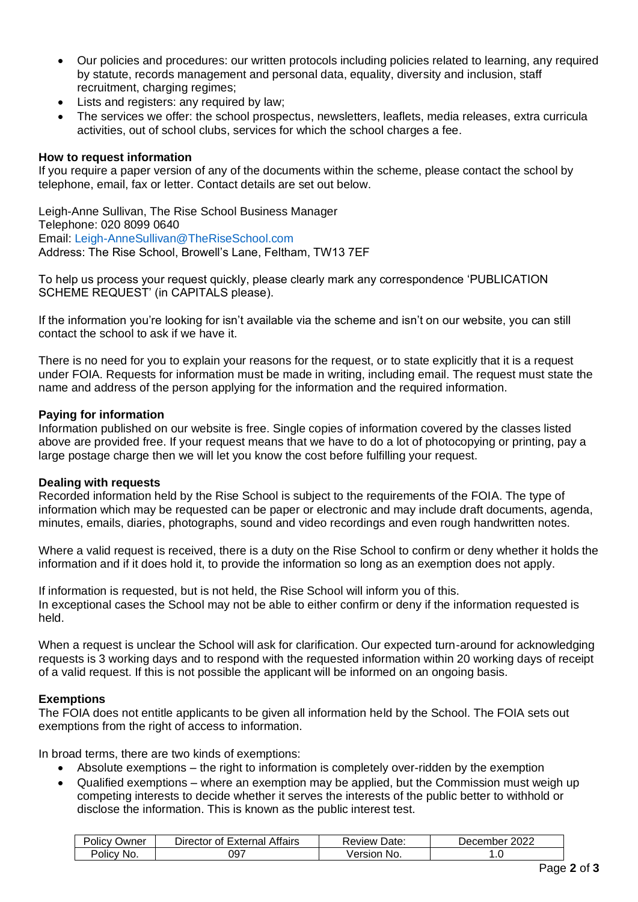- Our policies and procedures: our written protocols including policies related to learning, any required by statute, records management and personal data, equality, diversity and inclusion, staff recruitment, charging regimes;
- Lists and registers: any required by law;
- The services we offer: the school prospectus, newsletters, leaflets, media releases, extra curricula activities, out of school clubs, services for which the school charges a fee.

## **How to request information**

If you require a paper version of any of the documents within the scheme, please contact the school by telephone, email, fax or letter. Contact details are set out below.

Leigh-Anne Sullivan, The Rise School Business Manager Telephone: 020 8099 0640 Email: [Leigh-AnneSullivan@TheRiseSchool.com](mailto:Leigh-AnneSullivan@TheRiseSchool.com) Address: The Rise School, Browell's Lane, Feltham, TW13 7EF

To help us process your request quickly, please clearly mark any correspondence 'PUBLICATION SCHEME REQUEST' (in CAPITALS please).

If the information you're looking for isn't available via the scheme and isn't on our website, you can still contact the school to ask if we have it.

There is no need for you to explain your reasons for the request, or to state explicitly that it is a request under FOIA. Requests for information must be made in writing, including email. The request must state the name and address of the person applying for the information and the required information.

## **Paying for information**

Information published on our website is free. Single copies of information covered by the classes listed above are provided free. If your request means that we have to do a lot of photocopying or printing, pay a large postage charge then we will let you know the cost before fulfilling your request.

## **Dealing with requests**

Recorded information held by the Rise School is subject to the requirements of the FOIA. The type of information which may be requested can be paper or electronic and may include draft documents, agenda, minutes, emails, diaries, photographs, sound and video recordings and even rough handwritten notes.

Where a valid request is received, there is a duty on the Rise School to confirm or deny whether it holds the information and if it does hold it, to provide the information so long as an exemption does not apply.

If information is requested, but is not held, the Rise School will inform you of this. In exceptional cases the School may not be able to either confirm or deny if the information requested is held.

When a request is unclear the School will ask for clarification. Our expected turn-around for acknowledging requests is 3 working days and to respond with the requested information within 20 working days of receipt of a valid request. If this is not possible the applicant will be informed on an ongoing basis.

## **Exemptions**

The FOIA does not entitle applicants to be given all information held by the School. The FOIA sets out exemptions from the right of access to information.

In broad terms, there are two kinds of exemptions:

- Absolute exemptions the right to information is completely over-ridden by the exemption
- Qualified exemptions where an exemption may be applied, but the Commission must weigh up competing interests to decide whether it serves the interests of the public better to withhold or disclose the information. This is known as the public interest test.

| Policy Owner | Director of External Affairs | Review Date: | December 2022 |
|--------------|------------------------------|--------------|---------------|
| Policy No.   | 097                          | Version No.  | 1.O           |